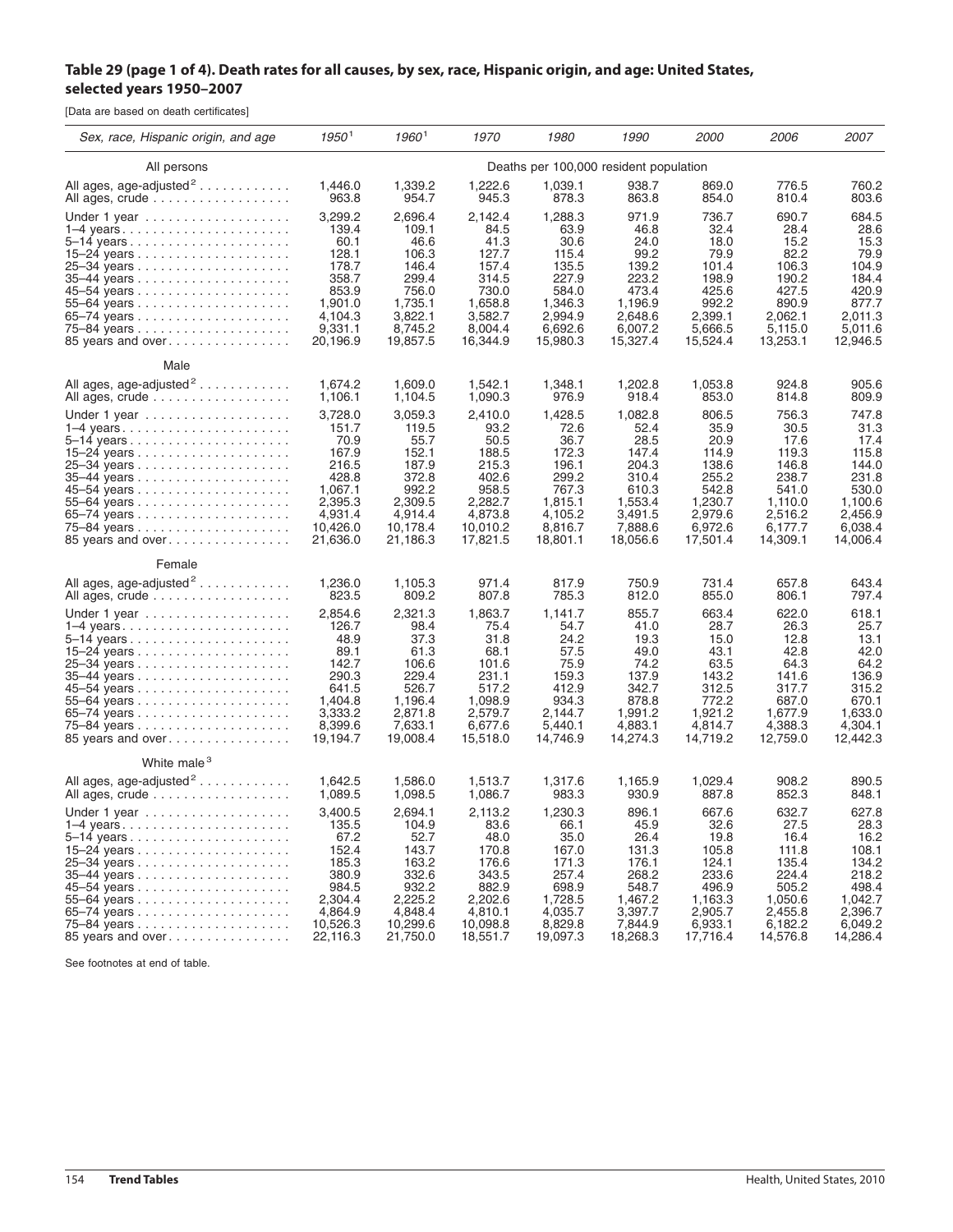## Table 29 (page 1 of 4). Death rates for all causes, by sex, race, Hispanic origin, and age: United States, **selected years 1950–2007**

[Data are based on death certificates]

| Sex, race, Hispanic origin, and age | 1950 <sup>1</sup>                      | $1960^1$ | 1970     | 1980     | 1990     | <i>2000</i> | <i>2006</i> | 2007     |
|-------------------------------------|----------------------------------------|----------|----------|----------|----------|-------------|-------------|----------|
| All persons                         | Deaths per 100,000 resident population |          |          |          |          |             |             |          |
| All ages, age-adjusted <sup>2</sup> | 1,446.0                                | 1,339.2  | 1,222.6  | 1,039.1  | 938.7    | 869.0       | 776.5       | 760.2    |
| All ages, crude                     | 963.8                                  | 954.7    | 945.3    | 878.3    | 863.8    | 854.0       | 810.4       | 803.6    |
|                                     | 3,299.2                                | 2,696.4  | 2,142.4  | 1,288.3  | 971.9    | 736.7       | 690.7       | 684.5    |
|                                     | 139.4                                  | 109.1    | 84.5     | 63.9     | 46.8     | 32.4        | 28.4        | 28.6     |
|                                     | 60.1                                   | 46.6     | 41.3     | 30.6     | 24.0     | 18.0        | 15.2        | 15.3     |
|                                     | 128.1                                  | 106.3    | 127.7    | 115.4    | 99.2     | 79.9        | 82.2        | 79.9     |
|                                     | 178.7                                  | 146.4    | 157.4    | 135.5    | 139.2    | 101.4       | 106.3       | 104.9    |
|                                     | 358.7                                  | 299.4    | 314.5    | 227.9    | 223.2    | 198.9       | 190.2       | 184.4    |
|                                     | 853.9                                  | 756.0    | 730.0    | 584.0    | 473.4    | 425.6       | 427.5       | 420.9    |
|                                     | 1,901.0                                | 1,735.1  | 1,658.8  | 1,346.3  | 1.196.9  | 992.2       | 890.9       | 877.7    |
|                                     | 4,104.3                                | 3,822.1  | 3,582.7  | 2,994.9  | 2,648.6  | 2,399.1     | 2,062.1     | 2,011.3  |
|                                     | 9,331.1                                | 8,745.2  | 8,004.4  | 6,692.6  | 6,007.2  | 5,666.5     | 5,115.0     | 5,011.6  |
| 85 years and over                   | 20,196.9                               | 19,857.5 | 16,344.9 | 15,980.3 | 15,327.4 | 15,524.4    | 13,253.1    | 12,946.5 |
| Male                                |                                        |          |          |          |          |             |             |          |
| All ages, age-adjusted <sup>2</sup> | 1,674.2                                | 1,609.0  | 1,542.1  | 1,348.1  | 1,202.8  | 1,053.8     | 924.8       | 905.6    |
| All ages, crude                     | 1,106.1                                | 1,104.5  | 1,090.3  | 976.9    | 918.4    | 853.0       | 814.8       | 809.9    |
| Under 1 year                        | 3,728.0                                | 3,059.3  | 2,410.0  | 1,428.5  | 1,082.8  | 806.5       | 756.3       | 747.8    |
| $1-4$ years                         | 151.7                                  | 119.5    | 93.2     | 72.6     | 52.4     | 35.9        | 30.5        | 31.3     |
|                                     | 70.9                                   | 55.7     | 50.5     | 36.7     | 28.5     | 20.9        | 17.6        | 17.4     |
|                                     | 167.9                                  | 152.1    | 188.5    | 172.3    | 147.4    | 114.9       | 119.3       | 115.8    |
|                                     | 216.5                                  | 187.9    | 215.3    | 196.1    | 204.3    | 138.6       | 146.8       | 144.0    |
|                                     | 428.8                                  | 372.8    | 402.6    | 299.2    | 310.4    | 255.2       | 238.7       | 231.8    |
|                                     | 1,067.1                                | 992.2    | 958.5    | 767.3    | 610.3    | 542.8       | 541.0       | 530.0    |
|                                     | 2,395.3                                | 2,309.5  | 2,282.7  | 1,815.1  | 1,553.4  | 1,230.7     | 1,110.0     | 1,100.6  |
|                                     | 4,931.4                                | 4,914.4  | 4,873.8  | 4,105.2  | 3,491.5  | 2,979.6     | 2,516.2     | 2,456.9  |
|                                     | 10,426.0                               | 10,178.4 | 10,010.2 | 8,816.7  | 7,888.6  | 6,972.6     | 6.177.7     | 6.038.4  |
| 85 years and over                   | 21,636.0                               | 21,186.3 | 17,821.5 | 18,801.1 | 18,056.6 | 17,501.4    | 14,309.1    | 14,006.4 |
| Female                              |                                        |          |          |          |          |             |             |          |
| All ages, age-adjusted <sup>2</sup> | 1,236.0                                | 1,105.3  | 971.4    | 817.9    | 750.9    | 731.4       | 657.8       | 643.4    |
| All ages, crude                     | 823.5                                  | 809.2    | 807.8    | 785.3    | 812.0    | 855.0       | 806.1       | 797.4    |
| Under 1 year                        | 2,854.6                                | 2,321.3  | 1,863.7  | 1,141.7  | 855.7    | 663.4       | 622.0       | 618.1    |
|                                     | 126.7                                  | 98.4     | 75.4     | 54.7     | 41.0     | 28.7        | 26.3        | 25.7     |
|                                     | 48.9                                   | 37.3     | 31.8     | 24.2     | 19.3     | 15.0        | 12.8        | 13.1     |
|                                     | 89.1                                   | 61.3     | 68.1     | 57.5     | 49.0     | 43.1        | 42.8        | 42.0     |
|                                     | 142.7                                  | 106.6    | 101.6    | 75.9     | 74.2     | 63.5        | 64.3        | 64.2     |
|                                     | 290.3                                  | 229.4    | 231.1    | 159.3    | 137.9    | 143.2       | 141.6       | 136.9    |
|                                     | 641.5                                  | 526.7    | 517.2    | 412.9    | 342.7    | 312.5       | 317.7       | 315.2    |
|                                     | 1,404.8                                | 1,196.4  | 1,098.9  | 934.3    | 878.8    | 772.2       | 687.0       | 670.1    |
|                                     | 3,333.2                                | 2,871.8  | 2,579.7  | 2,144.7  | 1,991.2  | 1,921.2     | 1,677.9     | 1,633.0  |
|                                     | 8,399.6                                | 7,633.1  | 6,677.6  | 5,440.1  | 4,883.1  | 4,814.7     | 4,388.3     | 4,304.1  |
| 85 years and over                   | 19,194.7                               | 19,008.4 | 15,518.0 | 14,746.9 | 14,274.3 | 14,719.2    | 12,759.0    | 12,442.3 |
| White male <sup>3</sup>             |                                        |          |          |          |          |             |             |          |
| All ages, age-adjusted <sup>2</sup> | 1,642.5                                | 1,586.0  | 1,513.7  | 1,317.6  | 1,165.9  | 1,029.4     | 908.2       | 890.5    |
| All ages, crude                     | 1,089.5                                | 1,098.5  | 1,086.7  | 983.3    | 930.9    | 887.8       | 852.3       | 848.1    |
| Under 1 year                        | 3,400.5                                | 2,694.1  | 2,113.2  | 1,230.3  | 896.1    | 667.6       | 632.7       | 627.8    |
| $1-4$ years                         | 135.5                                  | 104.9    | 83.6     | 66.1     | 45.9     | 32.6        | 27.5        | 28.3     |
|                                     | 67.2                                   | 52.7     | 48.0     | 35.0     | 26.4     | 19.8        | 16.4        | 16.2     |
|                                     | 152.4                                  | 143.7    | 170.8    | 167.0    | 131.3    | 105.8       | 111.8       | 108.1    |
|                                     | 185.3                                  | 163.2    | 176.6    | 171.3    | 176.1    | 124.1       | 135.4       | 134.2    |
|                                     | 380.9                                  | 332.6    | 343.5    | 257.4    | 268.2    | 233.6       | 224.4       | 218.2    |
|                                     | 984.5                                  | 932.2    | 882.9    | 698.9    | 548.7    | 496.9       | 505.2       | 498.4    |
|                                     | 2,304.4                                | 2,225.2  | 2,202.6  | 1,728.5  | 1,467.2  | 1,163.3     | 1,050.6     | 1,042.7  |
|                                     | 4,864.9                                | 4,848.4  | 4,810.1  | 4,035.7  | 3,397.7  | 2,905.7     | 2,455.8     | 2,396.7  |
|                                     | 10,526.3                               | 10,299.6 | 10,098.8 | 8,829.8  | 7,844.9  | 6,933.1     | 6,182.2     | 6,049.2  |
| 85 years and over                   | 22,116.3                               | 21,750.0 | 18,551.7 | 19,097.3 | 18,268.3 | 17,716.4    | 14,576.8    | 14,286.4 |

See footnotes at end of table.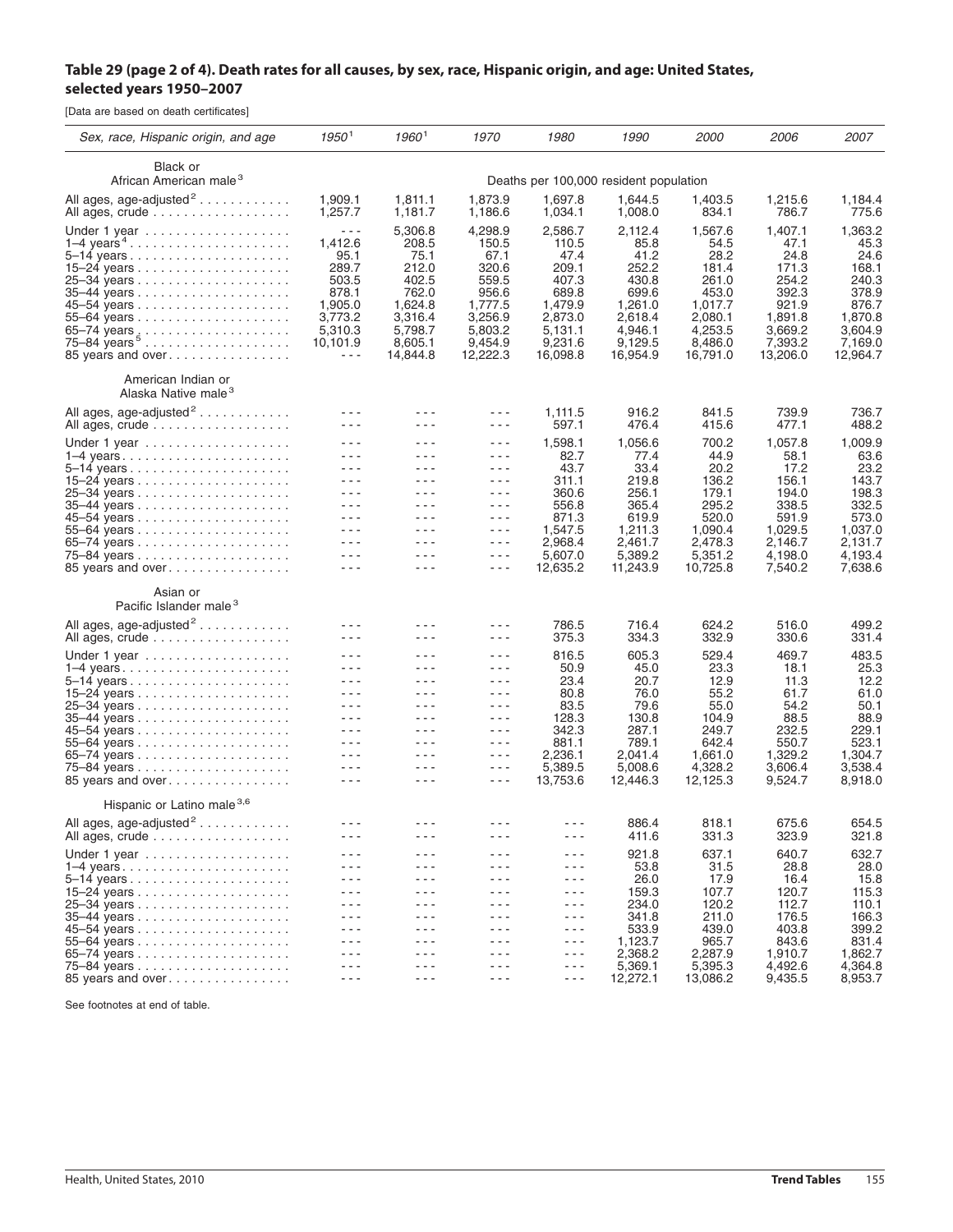## Table 29 (page 2 of 4). Death rates for all causes, by sex, race, Hispanic origin, and age: United States, **selected years 1950–2007**

[Data are based on death certificates]

| Sex, race, Hispanic origin, and age                                                     | 1950 <sup>1</sup>                                                                                                                                                                                                                                                                                                                                                                                                                                       | $1960^1$                                                                                                                                                                                                                                                                                                                                                                                     | 1970                                                                                                                                                                                                                                                                                                                                                                                                    | 1980                                                                                                        | 1990                                                                                                       | <i>2000</i>                                                                                                | <i>2006</i>                                                                                              | 2007                                                                                                     |
|-----------------------------------------------------------------------------------------|---------------------------------------------------------------------------------------------------------------------------------------------------------------------------------------------------------------------------------------------------------------------------------------------------------------------------------------------------------------------------------------------------------------------------------------------------------|----------------------------------------------------------------------------------------------------------------------------------------------------------------------------------------------------------------------------------------------------------------------------------------------------------------------------------------------------------------------------------------------|---------------------------------------------------------------------------------------------------------------------------------------------------------------------------------------------------------------------------------------------------------------------------------------------------------------------------------------------------------------------------------------------------------|-------------------------------------------------------------------------------------------------------------|------------------------------------------------------------------------------------------------------------|------------------------------------------------------------------------------------------------------------|----------------------------------------------------------------------------------------------------------|----------------------------------------------------------------------------------------------------------|
| Black or<br>African American male <sup>3</sup>                                          |                                                                                                                                                                                                                                                                                                                                                                                                                                                         |                                                                                                                                                                                                                                                                                                                                                                                              |                                                                                                                                                                                                                                                                                                                                                                                                         |                                                                                                             |                                                                                                            |                                                                                                            |                                                                                                          |                                                                                                          |
| All ages, age-adjusted <sup>2</sup>                                                     | Deaths per 100,000 resident population<br>1,873.9<br>1,697.8<br>1,644.5<br>1,909.1<br>1,811.1<br>1,403.5                                                                                                                                                                                                                                                                                                                                                |                                                                                                                                                                                                                                                                                                                                                                                              |                                                                                                                                                                                                                                                                                                                                                                                                         |                                                                                                             |                                                                                                            |                                                                                                            |                                                                                                          | 1,184.4                                                                                                  |
| All ages, crude                                                                         | 1,257.7                                                                                                                                                                                                                                                                                                                                                                                                                                                 | 1,181.7                                                                                                                                                                                                                                                                                                                                                                                      | 1,186.6                                                                                                                                                                                                                                                                                                                                                                                                 | 1,034.1                                                                                                     | 1,008.0                                                                                                    | 834.1                                                                                                      | 1,215.6<br>786.7                                                                                         | 775.6                                                                                                    |
| Under 1 year<br>$1-4$ years $4 \ldots \ldots \ldots \ldots \ldots$<br>85 years and over | $- - -$<br>1,412.6<br>95.1<br>289.7<br>503.5<br>878.1<br>1,905.0<br>3,773.2<br>5,310.3<br>10,101.9<br>---                                                                                                                                                                                                                                                                                                                                               | 5,306.8<br>208.5<br>75.1<br>212.0<br>402.5<br>762.0<br>1,624.8<br>3,316.4<br>5,798.7<br>8,605.1<br>14,844.8                                                                                                                                                                                                                                                                                  | 4,298.9<br>150.5<br>67.1<br>320.6<br>559.5<br>956.6<br>1,777.5<br>3,256.9<br>5,803.2<br>9,454.9<br>12,222.3                                                                                                                                                                                                                                                                                             | 2,586.7<br>110.5<br>47.4<br>209.1<br>407.3<br>689.8<br>1,479.9<br>2,873.0<br>5,131.1<br>9,231.6<br>16,098.8 | 2,112.4<br>85.8<br>41.2<br>252.2<br>430.8<br>699.6<br>1,261.0<br>2.618.4<br>4,946.1<br>9,129.5<br>16,954.9 | 1,567.6<br>54.5<br>28.2<br>181.4<br>261.0<br>453.0<br>1,017.7<br>2,080.1<br>4,253.5<br>8,486.0<br>16,791.0 | 1,407.1<br>47.1<br>24.8<br>171.3<br>254.2<br>392.3<br>921.9<br>1,891.8<br>3,669.2<br>7,393.2<br>13,206.0 | 1,363.2<br>45.3<br>24.6<br>168.1<br>240.3<br>378.9<br>876.7<br>1,870.8<br>3,604.9<br>7,169.0<br>12,964.7 |
| American Indian or<br>Alaska Native male <sup>3</sup>                                   |                                                                                                                                                                                                                                                                                                                                                                                                                                                         |                                                                                                                                                                                                                                                                                                                                                                                              |                                                                                                                                                                                                                                                                                                                                                                                                         |                                                                                                             |                                                                                                            |                                                                                                            |                                                                                                          |                                                                                                          |
| All ages, age-adjusted <sup>2</sup>                                                     | $  -$                                                                                                                                                                                                                                                                                                                                                                                                                                                   | $  -$                                                                                                                                                                                                                                                                                                                                                                                        | $- - -$                                                                                                                                                                                                                                                                                                                                                                                                 | 1,111.5                                                                                                     | 916.2                                                                                                      | 841.5                                                                                                      | 739.9                                                                                                    | 736.7                                                                                                    |
| All ages, crude                                                                         | $  -$                                                                                                                                                                                                                                                                                                                                                                                                                                                   | $  -$                                                                                                                                                                                                                                                                                                                                                                                        | - - -                                                                                                                                                                                                                                                                                                                                                                                                   | 597.1                                                                                                       | 476.4                                                                                                      | 415.6                                                                                                      | 477.1                                                                                                    | 488.2                                                                                                    |
| Under 1 year                                                                            | $  -$                                                                                                                                                                                                                                                                                                                                                                                                                                                   | $  -$                                                                                                                                                                                                                                                                                                                                                                                        | - - -                                                                                                                                                                                                                                                                                                                                                                                                   | 1,598.1                                                                                                     | 1,056.6<br>77.4<br>33.4<br>219.8<br>256.1<br>365.4                                                         | 700.2<br>44.9<br>20.2                                                                                      | 1,057.8                                                                                                  | 1,009.9                                                                                                  |
| 1–4 years                                                                               | $  -$<br>$- - -$                                                                                                                                                                                                                                                                                                                                                                                                                                        | $  -$<br>$  -$                                                                                                                                                                                                                                                                                                                                                                               | $\frac{1}{2} \left( \frac{1}{2} \right) \frac{1}{2} \left( \frac{1}{2} \right)$<br>$- - -$                                                                                                                                                                                                                                                                                                              | 82.7<br>43.7                                                                                                |                                                                                                            |                                                                                                            | 58.1                                                                                                     | 63.6<br>23.2                                                                                             |
|                                                                                         | $  -$                                                                                                                                                                                                                                                                                                                                                                                                                                                   | $- - -$                                                                                                                                                                                                                                                                                                                                                                                      | $  -$                                                                                                                                                                                                                                                                                                                                                                                                   | 311.1                                                                                                       |                                                                                                            | 136.2                                                                                                      | 17.2<br>156.1                                                                                            | 143.7                                                                                                    |
|                                                                                         | - - -                                                                                                                                                                                                                                                                                                                                                                                                                                                   | $  -$                                                                                                                                                                                                                                                                                                                                                                                        | - - -                                                                                                                                                                                                                                                                                                                                                                                                   | 360.6                                                                                                       |                                                                                                            | 179.1                                                                                                      | 194.0                                                                                                    | 198.3                                                                                                    |
|                                                                                         | $  -$                                                                                                                                                                                                                                                                                                                                                                                                                                                   | $  -$                                                                                                                                                                                                                                                                                                                                                                                        | $- - -$                                                                                                                                                                                                                                                                                                                                                                                                 | 556.8                                                                                                       |                                                                                                            | 295.2                                                                                                      | 338.5                                                                                                    | 332.5                                                                                                    |
|                                                                                         | $  -$                                                                                                                                                                                                                                                                                                                                                                                                                                                   | $- - -$                                                                                                                                                                                                                                                                                                                                                                                      | $\frac{1}{2} \left( \frac{1}{2} \right) \frac{1}{2} \left( \frac{1}{2} \right)$                                                                                                                                                                                                                                                                                                                         | 871.3                                                                                                       | 619.9                                                                                                      | 520.0                                                                                                      | 591.9                                                                                                    | 573.0                                                                                                    |
|                                                                                         | - - -<br>$  -$                                                                                                                                                                                                                                                                                                                                                                                                                                          | $- - -$<br>$  -$                                                                                                                                                                                                                                                                                                                                                                             | $- - -$<br>$\frac{1}{2} \left( \frac{1}{2} \right) \frac{1}{2} \left( \frac{1}{2} \right)$                                                                                                                                                                                                                                                                                                              | 1,547.5<br>2,968.4                                                                                          | 1,211.3<br>2,461.7                                                                                         | 1,090.4<br>2,478.3                                                                                         | 1,029.5<br>2,146.7                                                                                       | 1,037.0<br>2,131.7                                                                                       |
|                                                                                         | $  -$                                                                                                                                                                                                                                                                                                                                                                                                                                                   | $- - -$                                                                                                                                                                                                                                                                                                                                                                                      | $\frac{1}{2} \frac{1}{2} \frac{1}{2} \frac{1}{2} \frac{1}{2} \frac{1}{2} \frac{1}{2} \frac{1}{2} \frac{1}{2} \frac{1}{2} \frac{1}{2} \frac{1}{2} \frac{1}{2} \frac{1}{2} \frac{1}{2} \frac{1}{2} \frac{1}{2} \frac{1}{2} \frac{1}{2} \frac{1}{2} \frac{1}{2} \frac{1}{2} \frac{1}{2} \frac{1}{2} \frac{1}{2} \frac{1}{2} \frac{1}{2} \frac{1}{2} \frac{1}{2} \frac{1}{2} \frac{1}{2} \frac{$            | 5.607.0                                                                                                     | 5,389.2                                                                                                    | 5,351.2                                                                                                    | 4,198.0                                                                                                  | 4,193.4                                                                                                  |
| 85 years and over                                                                       | ---                                                                                                                                                                                                                                                                                                                                                                                                                                                     | $  -$                                                                                                                                                                                                                                                                                                                                                                                        | $- - -$                                                                                                                                                                                                                                                                                                                                                                                                 | 12,635.2                                                                                                    | 11,243.9                                                                                                   | 10,725.8                                                                                                   | 7,540.2                                                                                                  | 7,638.6                                                                                                  |
| Asian or<br>Pacific Islander male <sup>3</sup>                                          |                                                                                                                                                                                                                                                                                                                                                                                                                                                         |                                                                                                                                                                                                                                                                                                                                                                                              |                                                                                                                                                                                                                                                                                                                                                                                                         |                                                                                                             |                                                                                                            |                                                                                                            |                                                                                                          |                                                                                                          |
| All ages, age-adjusted <sup>2</sup>                                                     | - - -                                                                                                                                                                                                                                                                                                                                                                                                                                                   | - - -                                                                                                                                                                                                                                                                                                                                                                                        | ---                                                                                                                                                                                                                                                                                                                                                                                                     | 786.5                                                                                                       | 716.4                                                                                                      | 624.2                                                                                                      | 516.0                                                                                                    | 499.2                                                                                                    |
| All ages, crude                                                                         | $  -$                                                                                                                                                                                                                                                                                                                                                                                                                                                   | $  -$                                                                                                                                                                                                                                                                                                                                                                                        | - - -                                                                                                                                                                                                                                                                                                                                                                                                   | 375.3                                                                                                       | 334.3                                                                                                      | 332.9                                                                                                      | 330.6                                                                                                    | 331.4                                                                                                    |
| Under 1 year                                                                            | $- - -$                                                                                                                                                                                                                                                                                                                                                                                                                                                 | $  -$                                                                                                                                                                                                                                                                                                                                                                                        | $  -$                                                                                                                                                                                                                                                                                                                                                                                                   | 816.5                                                                                                       | 605.3                                                                                                      | 529.4                                                                                                      | 469.7                                                                                                    | 483.5                                                                                                    |
| $1-4$ years                                                                             | $  -$                                                                                                                                                                                                                                                                                                                                                                                                                                                   | $  -$                                                                                                                                                                                                                                                                                                                                                                                        | $\frac{1}{2} \left( \frac{1}{2} \right) \frac{1}{2} \left( \frac{1}{2} \right)$                                                                                                                                                                                                                                                                                                                         | 50.9                                                                                                        | 45.0                                                                                                       | 23.3                                                                                                       | 18.1                                                                                                     | 25.3                                                                                                     |
|                                                                                         | $  -$                                                                                                                                                                                                                                                                                                                                                                                                                                                   | $  -$                                                                                                                                                                                                                                                                                                                                                                                        | $- - -$                                                                                                                                                                                                                                                                                                                                                                                                 | 23.4                                                                                                        | 20.7<br>76.0<br>79.6<br>130.8<br>287.1<br>789.1                                                            | 12.9<br>55.2                                                                                               | 11.3                                                                                                     | 12.2                                                                                                     |
|                                                                                         | $  -$                                                                                                                                                                                                                                                                                                                                                                                                                                                   | $- - -$<br>$  -$                                                                                                                                                                                                                                                                                                                                                                             | $  -$                                                                                                                                                                                                                                                                                                                                                                                                   | 80.8                                                                                                        |                                                                                                            |                                                                                                            | 61.7                                                                                                     | 61.0                                                                                                     |
|                                                                                         | $  -$<br>$  -$                                                                                                                                                                                                                                                                                                                                                                                                                                          | $  -$                                                                                                                                                                                                                                                                                                                                                                                        | $\frac{1}{2} \left( \frac{1}{2} \right) \frac{1}{2} \left( \frac{1}{2} \right)$<br>- - -                                                                                                                                                                                                                                                                                                                | 83.5<br>128.3                                                                                               |                                                                                                            | 55.0<br>104.9                                                                                              | 54.2<br>88.5                                                                                             | 50.1<br>88.9                                                                                             |
|                                                                                         | $  -$                                                                                                                                                                                                                                                                                                                                                                                                                                                   | $- - -$                                                                                                                                                                                                                                                                                                                                                                                      | $  -$                                                                                                                                                                                                                                                                                                                                                                                                   | 342.3<br>881.1<br>2,236.1                                                                                   |                                                                                                            | 249.7<br>642.4<br>1,661.0<br>4,328.2<br>12,125.3                                                           | 232.5                                                                                                    | 229.1<br>523.1<br>1,304.7<br>3,538.4<br>8,918.0                                                          |
|                                                                                         | $  -$                                                                                                                                                                                                                                                                                                                                                                                                                                                   | $  -$                                                                                                                                                                                                                                                                                                                                                                                        | $\frac{1}{2} \left( \frac{1}{2} \right) \frac{1}{2} \left( \frac{1}{2} \right)$                                                                                                                                                                                                                                                                                                                         |                                                                                                             |                                                                                                            |                                                                                                            | 550.7                                                                                                    |                                                                                                          |
|                                                                                         | $  -$                                                                                                                                                                                                                                                                                                                                                                                                                                                   | $  -$                                                                                                                                                                                                                                                                                                                                                                                        | - - -                                                                                                                                                                                                                                                                                                                                                                                                   |                                                                                                             | 2,041.4                                                                                                    |                                                                                                            | 1,329.2                                                                                                  |                                                                                                          |
| 85 years and over                                                                       | $  -$<br>$\frac{1}{2} \left( \frac{1}{2} \right) + \frac{1}{2} \left( \frac{1}{2} \right) + \frac{1}{2} \left( \frac{1}{2} \right) + \frac{1}{2} \left( \frac{1}{2} \right) + \frac{1}{2} \left( \frac{1}{2} \right) + \frac{1}{2} \left( \frac{1}{2} \right) + \frac{1}{2} \left( \frac{1}{2} \right) + \frac{1}{2} \left( \frac{1}{2} \right) + \frac{1}{2} \left( \frac{1}{2} \right) + \frac{1}{2} \left( \frac{1}{2} \right) + \frac{1}{2} \left($ | $  -$<br>$- - -$                                                                                                                                                                                                                                                                                                                                                                             | $- - -$<br>$\frac{1}{2} \frac{1}{2} \frac{1}{2} \frac{1}{2} \frac{1}{2} \frac{1}{2} \frac{1}{2} \frac{1}{2} \frac{1}{2} \frac{1}{2} \frac{1}{2} \frac{1}{2} \frac{1}{2} \frac{1}{2} \frac{1}{2} \frac{1}{2} \frac{1}{2} \frac{1}{2} \frac{1}{2} \frac{1}{2} \frac{1}{2} \frac{1}{2} \frac{1}{2} \frac{1}{2} \frac{1}{2} \frac{1}{2} \frac{1}{2} \frac{1}{2} \frac{1}{2} \frac{1}{2} \frac{1}{2} \frac{$ | 5,389.5<br>13,753.6                                                                                         | 5,008.6<br>12,446.3                                                                                        |                                                                                                            | 3,606.4<br>9,524.7                                                                                       |                                                                                                          |
|                                                                                         |                                                                                                                                                                                                                                                                                                                                                                                                                                                         |                                                                                                                                                                                                                                                                                                                                                                                              |                                                                                                                                                                                                                                                                                                                                                                                                         |                                                                                                             |                                                                                                            |                                                                                                            |                                                                                                          |                                                                                                          |
| Hispanic or Latino male 3,6                                                             |                                                                                                                                                                                                                                                                                                                                                                                                                                                         |                                                                                                                                                                                                                                                                                                                                                                                              |                                                                                                                                                                                                                                                                                                                                                                                                         |                                                                                                             |                                                                                                            |                                                                                                            |                                                                                                          |                                                                                                          |
| All ages, age-adjusted <sup>2</sup>                                                     | ---                                                                                                                                                                                                                                                                                                                                                                                                                                                     | - - -                                                                                                                                                                                                                                                                                                                                                                                        | - - -                                                                                                                                                                                                                                                                                                                                                                                                   | - - -                                                                                                       | 886.4                                                                                                      | 818.1                                                                                                      | 675.6                                                                                                    | 654.5                                                                                                    |
| All ages, crude                                                                         | $  -$                                                                                                                                                                                                                                                                                                                                                                                                                                                   | $\frac{1}{2} \frac{1}{2} \frac{1}{2} \frac{1}{2} \frac{1}{2} \frac{1}{2} \frac{1}{2} \frac{1}{2} \frac{1}{2} \frac{1}{2} \frac{1}{2} \frac{1}{2} \frac{1}{2} \frac{1}{2} \frac{1}{2} \frac{1}{2} \frac{1}{2} \frac{1}{2} \frac{1}{2} \frac{1}{2} \frac{1}{2} \frac{1}{2} \frac{1}{2} \frac{1}{2} \frac{1}{2} \frac{1}{2} \frac{1}{2} \frac{1}{2} \frac{1}{2} \frac{1}{2} \frac{1}{2} \frac{$ | $- - -$                                                                                                                                                                                                                                                                                                                                                                                                 | $  -$                                                                                                       | 411.6                                                                                                      | 331.3                                                                                                      | 323.9                                                                                                    | 321.8                                                                                                    |
| Under 1 year                                                                            | $  -$                                                                                                                                                                                                                                                                                                                                                                                                                                                   | - - -                                                                                                                                                                                                                                                                                                                                                                                        | - - -                                                                                                                                                                                                                                                                                                                                                                                                   | - - -                                                                                                       | 921.8                                                                                                      | 637.1                                                                                                      | 640.7                                                                                                    | 632.7                                                                                                    |
| $1-4$ years                                                                             | $  -$<br>$  -$                                                                                                                                                                                                                                                                                                                                                                                                                                          | $  -$<br>$  -$                                                                                                                                                                                                                                                                                                                                                                               | - - -<br>- - -                                                                                                                                                                                                                                                                                                                                                                                          | $  -$<br>$  -$                                                                                              | 53.8                                                                                                       | 31.5                                                                                                       | 28.8                                                                                                     | 28.0                                                                                                     |
|                                                                                         | $  -$                                                                                                                                                                                                                                                                                                                                                                                                                                                   | $  -$                                                                                                                                                                                                                                                                                                                                                                                        | - - -                                                                                                                                                                                                                                                                                                                                                                                                   | $- - -$                                                                                                     | 26.0<br>159.3                                                                                              | 17.9<br>107.7                                                                                              | 16.4<br>120.7                                                                                            | 15.8<br>115.3                                                                                            |
|                                                                                         | $  -$                                                                                                                                                                                                                                                                                                                                                                                                                                                   | - - -                                                                                                                                                                                                                                                                                                                                                                                        | - - -                                                                                                                                                                                                                                                                                                                                                                                                   | - - -                                                                                                       | 234.0                                                                                                      | 120.2                                                                                                      | 112.7                                                                                                    | 110.1                                                                                                    |
|                                                                                         | $  -$                                                                                                                                                                                                                                                                                                                                                                                                                                                   | - - -                                                                                                                                                                                                                                                                                                                                                                                        | - - -                                                                                                                                                                                                                                                                                                                                                                                                   | $- - -$                                                                                                     | 341.8                                                                                                      | 211.0                                                                                                      | 176.5                                                                                                    | 166.3                                                                                                    |
|                                                                                         | $  -$                                                                                                                                                                                                                                                                                                                                                                                                                                                   | $  -$                                                                                                                                                                                                                                                                                                                                                                                        | $  -$                                                                                                                                                                                                                                                                                                                                                                                                   | $- - -$                                                                                                     | 533.9                                                                                                      | 439.0                                                                                                      | 403.8                                                                                                    | 399.2                                                                                                    |
|                                                                                         | $  -$<br>$  -$                                                                                                                                                                                                                                                                                                                                                                                                                                          | $  -$<br>$  -$                                                                                                                                                                                                                                                                                                                                                                               | - - -<br>- - -                                                                                                                                                                                                                                                                                                                                                                                          | $- - -$<br>---                                                                                              | 1,123.7                                                                                                    | 965.7                                                                                                      | 843.6                                                                                                    | 831.4<br>1,862.7                                                                                         |
|                                                                                         | $- - -$                                                                                                                                                                                                                                                                                                                                                                                                                                                 | $- - -$                                                                                                                                                                                                                                                                                                                                                                                      | $- - -$                                                                                                                                                                                                                                                                                                                                                                                                 | $- - -$                                                                                                     | 2,368.2<br>5,369.1                                                                                         | 2,287.9<br>5,395.3                                                                                         | 1,910.7<br>4,492.6                                                                                       | 4,364.8                                                                                                  |
| 85 years and over                                                                       | $\frac{1}{2} \frac{1}{2} \frac{1}{2} \frac{1}{2} \frac{1}{2} \frac{1}{2} \frac{1}{2} \frac{1}{2} \frac{1}{2} \frac{1}{2} \frac{1}{2} \frac{1}{2} \frac{1}{2} \frac{1}{2} \frac{1}{2} \frac{1}{2} \frac{1}{2} \frac{1}{2} \frac{1}{2} \frac{1}{2} \frac{1}{2} \frac{1}{2} \frac{1}{2} \frac{1}{2} \frac{1}{2} \frac{1}{2} \frac{1}{2} \frac{1}{2} \frac{1}{2} \frac{1}{2} \frac{1}{2} \frac{$                                                            | $\frac{1}{2} \left( \frac{1}{2} \right) \frac{1}{2} \left( \frac{1}{2} \right)$                                                                                                                                                                                                                                                                                                              | $\frac{1}{2} \frac{1}{2} \frac{1}{2} \frac{1}{2} \frac{1}{2} \frac{1}{2} \frac{1}{2} \frac{1}{2} \frac{1}{2} \frac{1}{2} \frac{1}{2} \frac{1}{2} \frac{1}{2} \frac{1}{2} \frac{1}{2} \frac{1}{2} \frac{1}{2} \frac{1}{2} \frac{1}{2} \frac{1}{2} \frac{1}{2} \frac{1}{2} \frac{1}{2} \frac{1}{2} \frac{1}{2} \frac{1}{2} \frac{1}{2} \frac{1}{2} \frac{1}{2} \frac{1}{2} \frac{1}{2} \frac{$            | $- - -$                                                                                                     | 12,272.1                                                                                                   | 13,086.2                                                                                                   | 9,435.5                                                                                                  | 8,953.7                                                                                                  |

See footnotes at end of table.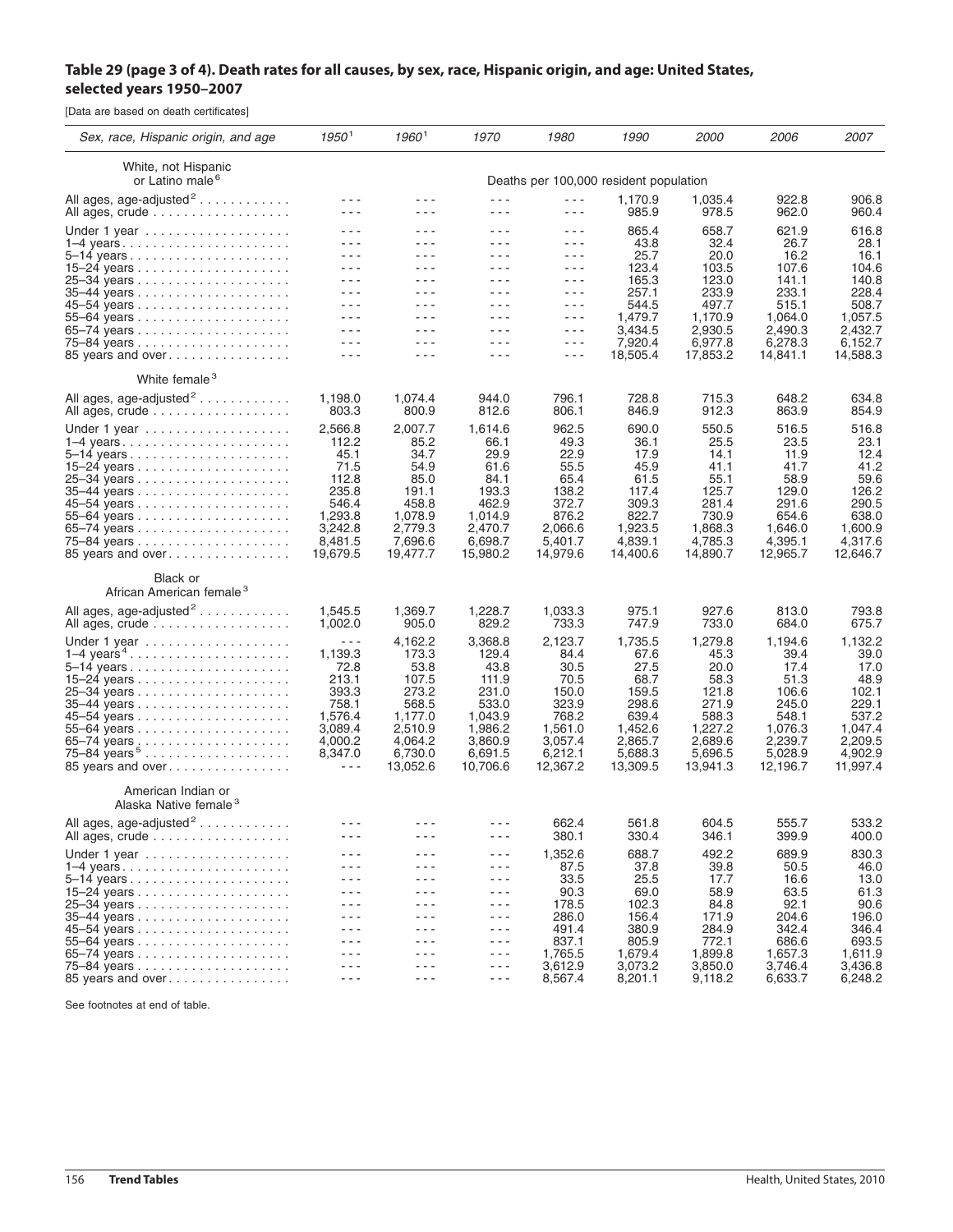## Table 29 (page 3 of 4). Death rates for all causes, by sex, race, Hispanic origin, and age: United States, **selected years 1950–2007**

[Data are based on death certificates]

| Sex, race, Hispanic origin, and age                           | 1950 <sup>1</sup>                                                                                                                                                                                                                                                                                                                                                                                                                                                                             | 19601                                                                                                                                                                                                                                                                                                                                                                                                                                     | 1970                                                                                                                                                                                                                                                                                                                                                                                                  | 1980                                                                                                    | 1990                                                                                                    | <i>2000</i>                                                                                             | <i>2006</i>                                                                                             | 2007                                                                                                    |
|---------------------------------------------------------------|-----------------------------------------------------------------------------------------------------------------------------------------------------------------------------------------------------------------------------------------------------------------------------------------------------------------------------------------------------------------------------------------------------------------------------------------------------------------------------------------------|-------------------------------------------------------------------------------------------------------------------------------------------------------------------------------------------------------------------------------------------------------------------------------------------------------------------------------------------------------------------------------------------------------------------------------------------|-------------------------------------------------------------------------------------------------------------------------------------------------------------------------------------------------------------------------------------------------------------------------------------------------------------------------------------------------------------------------------------------------------|---------------------------------------------------------------------------------------------------------|---------------------------------------------------------------------------------------------------------|---------------------------------------------------------------------------------------------------------|---------------------------------------------------------------------------------------------------------|---------------------------------------------------------------------------------------------------------|
| White, not Hispanic<br>or Latino male <sup>6</sup>            | Deaths per 100,000 resident population                                                                                                                                                                                                                                                                                                                                                                                                                                                        |                                                                                                                                                                                                                                                                                                                                                                                                                                           |                                                                                                                                                                                                                                                                                                                                                                                                       |                                                                                                         |                                                                                                         |                                                                                                         |                                                                                                         |                                                                                                         |
| All ages, age-adjusted <sup>2</sup><br>All ages, crude        | - - -<br>$- - -$                                                                                                                                                                                                                                                                                                                                                                                                                                                                              | - - -<br>$  -$                                                                                                                                                                                                                                                                                                                                                                                                                            | - - -<br>$\frac{1}{2} \frac{1}{2} \frac{1}{2} \frac{1}{2} \frac{1}{2} \frac{1}{2} \frac{1}{2} \frac{1}{2} \frac{1}{2} \frac{1}{2} \frac{1}{2} \frac{1}{2} \frac{1}{2} \frac{1}{2} \frac{1}{2} \frac{1}{2} \frac{1}{2} \frac{1}{2} \frac{1}{2} \frac{1}{2} \frac{1}{2} \frac{1}{2} \frac{1}{2} \frac{1}{2} \frac{1}{2} \frac{1}{2} \frac{1}{2} \frac{1}{2} \frac{1}{2} \frac{1}{2} \frac{1}{2} \frac{$ | - - -<br>- - -                                                                                          | 1,170.9<br>985.9                                                                                        | 1,035.4<br>978.5                                                                                        | 922.8<br>962.0                                                                                          | 906.8<br>960.4                                                                                          |
| Under 1 year                                                  | - - -<br>$  -$                                                                                                                                                                                                                                                                                                                                                                                                                                                                                | .<br>---                                                                                                                                                                                                                                                                                                                                                                                                                                  | - - -<br>- - -                                                                                                                                                                                                                                                                                                                                                                                        | - - -<br>- - -                                                                                          | 865.4<br>43.8                                                                                           | 658.7<br>32.4                                                                                           | 621.9<br>26.7                                                                                           | 616.8<br>28.1                                                                                           |
|                                                               | - - -<br>$  -$<br>$  -$                                                                                                                                                                                                                                                                                                                                                                                                                                                                       | - - -<br>$  -$<br>$  -$                                                                                                                                                                                                                                                                                                                                                                                                                   | - - -<br>- - -<br>- - -                                                                                                                                                                                                                                                                                                                                                                               | - - -<br>- - -<br>- - -                                                                                 | 25.7<br>123.4<br>165.3                                                                                  | 20.0<br>103.5<br>123.0                                                                                  | 16.2<br>107.6<br>141.1                                                                                  | 16.1<br>104.6<br>140.8                                                                                  |
|                                                               | - - -<br>- - -<br>---                                                                                                                                                                                                                                                                                                                                                                                                                                                                         | - - -<br>- - -<br>- - -                                                                                                                                                                                                                                                                                                                                                                                                                   | - - -<br>$  -$<br>- - -                                                                                                                                                                                                                                                                                                                                                                               | - - -<br>- - -<br>- - -                                                                                 | 257.1<br>544.5                                                                                          | 233.9<br>497.7                                                                                          | 233.1<br>515.1                                                                                          | 228.4<br>508.7                                                                                          |
|                                                               | - - -<br>- - -                                                                                                                                                                                                                                                                                                                                                                                                                                                                                | - - -<br>$- - -$                                                                                                                                                                                                                                                                                                                                                                                                                          | - - -<br>- - -                                                                                                                                                                                                                                                                                                                                                                                        | - - -<br>- - -                                                                                          | 1,479.7<br>3,434.5<br>7,920.4                                                                           | 1,170.9<br>2,930.5<br>6,977.8                                                                           | 1,064.0<br>2,490.3<br>6,278.3                                                                           | 1,057.5<br>2,432.7<br>6,152.7                                                                           |
| 85 years and over<br>White female <sup>3</sup>                | ---                                                                                                                                                                                                                                                                                                                                                                                                                                                                                           | - - -                                                                                                                                                                                                                                                                                                                                                                                                                                     | - - -                                                                                                                                                                                                                                                                                                                                                                                                 | $- - -$                                                                                                 | 18,505.4                                                                                                | 17,853.2                                                                                                | 14,841.1                                                                                                | 14,588.3                                                                                                |
| All ages, age-adjusted <sup>2</sup>                           | 1,198.0                                                                                                                                                                                                                                                                                                                                                                                                                                                                                       | 1,074.4                                                                                                                                                                                                                                                                                                                                                                                                                                   | 944.0                                                                                                                                                                                                                                                                                                                                                                                                 | 796.1                                                                                                   | 728.8                                                                                                   | 715.3                                                                                                   | 648.2                                                                                                   | 634.8                                                                                                   |
| All ages, crude                                               | 803.3                                                                                                                                                                                                                                                                                                                                                                                                                                                                                         | 800.9                                                                                                                                                                                                                                                                                                                                                                                                                                     | 812.6                                                                                                                                                                                                                                                                                                                                                                                                 | 806.1                                                                                                   | 846.9                                                                                                   | 912.3                                                                                                   | 863.9                                                                                                   | 854.9                                                                                                   |
| Under 1 year<br>85 years and over                             | 2,566.8<br>112.2<br>45.1<br>71.5<br>112.8<br>235.8<br>546.4<br>1,293.8<br>3,242.8<br>8,481.5<br>19,679.5                                                                                                                                                                                                                                                                                                                                                                                      | 2,007.7<br>85.2<br>34.7<br>54.9<br>85.0<br>191.1<br>458.8<br>1,078.9<br>2,779.3<br>7,696.6<br>19,477.7                                                                                                                                                                                                                                                                                                                                    | 1,614.6<br>66.1<br>29.9<br>61.6<br>84.1<br>193.3<br>462.9<br>1,014.9<br>2,470.7<br>6,698.7<br>15,980.2                                                                                                                                                                                                                                                                                                | 962.5<br>49.3<br>22.9<br>55.5<br>65.4<br>138.2<br>372.7<br>876.2<br>2,066.6<br>5,401.7<br>14,979.6      | 690.0<br>36.1<br>17.9<br>45.9<br>61.5<br>117.4<br>309.3<br>822.7<br>1,923.5<br>4,839.1<br>14,400.6      | 550.5<br>25.5<br>14.1<br>41.1<br>55.1<br>125.7<br>281.4<br>730.9<br>1,868.3<br>4,785.3<br>14,890.7      | 516.5<br>23.5<br>11.9<br>41.7<br>58.9<br>129.0<br>291.6<br>654.6<br>1.646.0<br>4,395.1<br>12,965.7      | 516.8<br>23.1<br>12.4<br>41.2<br>59.6<br>126.2<br>290.5<br>638.0<br>1,600.9<br>4,317.6<br>12,646.7      |
| Black or<br>African American female <sup>3</sup>              |                                                                                                                                                                                                                                                                                                                                                                                                                                                                                               |                                                                                                                                                                                                                                                                                                                                                                                                                                           |                                                                                                                                                                                                                                                                                                                                                                                                       |                                                                                                         |                                                                                                         |                                                                                                         |                                                                                                         |                                                                                                         |
| All ages, age-adjusted <sup>2</sup><br>All ages, crude        | 1,545.5<br>1,002.0                                                                                                                                                                                                                                                                                                                                                                                                                                                                            | 1,369.7<br>905.0                                                                                                                                                                                                                                                                                                                                                                                                                          | 1,228.7<br>829.2                                                                                                                                                                                                                                                                                                                                                                                      | 1,033.3<br>733.3                                                                                        | 975.1<br>747.9                                                                                          | 927.6<br>733.0                                                                                          | 813.0<br>684.0                                                                                          | 793.8<br>675.7                                                                                          |
| Under 1 year<br>$1-4$ years <sup>4</sup><br>85 years and over | $\frac{1}{2} \frac{1}{2} \frac{1}{2} \frac{1}{2} \frac{1}{2} \frac{1}{2} \frac{1}{2} \frac{1}{2} \frac{1}{2} \frac{1}{2} \frac{1}{2} \frac{1}{2} \frac{1}{2} \frac{1}{2} \frac{1}{2} \frac{1}{2} \frac{1}{2} \frac{1}{2} \frac{1}{2} \frac{1}{2} \frac{1}{2} \frac{1}{2} \frac{1}{2} \frac{1}{2} \frac{1}{2} \frac{1}{2} \frac{1}{2} \frac{1}{2} \frac{1}{2} \frac{1}{2} \frac{1}{2} \frac{$<br>1,139.3<br>72.8<br>213.1<br>393.3<br>758.1<br>1,576.4<br>3,089.4<br>4,000.2<br>8,347.0<br>--- | 4,162.2<br>173.3<br>53.8<br>107.5<br>273.2<br>568.5<br>1,177.0<br>2,510.9<br>4,064.2<br>6,730.0<br>13,052.6                                                                                                                                                                                                                                                                                                                               | 3,368.8<br>129.4<br>43.8<br>111.9<br>231.0<br>533.0<br>1,043.9<br>1,986.2<br>3,860.9<br>6,691.5<br>10,706.6                                                                                                                                                                                                                                                                                           | 2,123.7<br>84.4<br>30.5<br>70.5<br>150.0<br>323.9<br>768.2<br>1,561.0<br>3,057.4<br>6,212.1<br>12,367.2 | 1,735.5<br>67.6<br>27.5<br>68.7<br>159.5<br>298.6<br>639.4<br>1,452.6<br>2,865.7<br>5,688.3<br>13,309.5 | 1,279.8<br>45.3<br>20.0<br>58.3<br>121.8<br>271.9<br>588.3<br>1,227.2<br>2,689.6<br>5,696.5<br>13,941.3 | 1,194.6<br>39.4<br>17.4<br>51.3<br>106.6<br>245.0<br>548.1<br>1,076.3<br>2,239.7<br>5,028.9<br>12,196.7 | 1,132.2<br>39.0<br>17.0<br>48.9<br>102.1<br>229.1<br>537.2<br>1,047.4<br>2,209.5<br>4,902.9<br>11,997.4 |
| American Indian or<br>Alaska Native female <sup>3</sup>       |                                                                                                                                                                                                                                                                                                                                                                                                                                                                                               |                                                                                                                                                                                                                                                                                                                                                                                                                                           |                                                                                                                                                                                                                                                                                                                                                                                                       |                                                                                                         |                                                                                                         |                                                                                                         |                                                                                                         |                                                                                                         |
| All ages, age-adjusted <sup>2</sup><br>All ages, crude        | - - -<br>$  -$                                                                                                                                                                                                                                                                                                                                                                                                                                                                                | ---                                                                                                                                                                                                                                                                                                                                                                                                                                       | - - -<br>- - -                                                                                                                                                                                                                                                                                                                                                                                        | 662.4<br>380.1                                                                                          | 561.8<br>330.4                                                                                          | 604.5<br>346.1                                                                                          | 555.7<br>399.9                                                                                          | 533.2<br>400.0                                                                                          |
| Under 1 year<br>$1-4$ years                                   | $  -$<br>$  -$<br>$  -$<br>$  -$<br>- - -<br>$  -$                                                                                                                                                                                                                                                                                                                                                                                                                                            | $  -$<br>- - -<br>- - -<br>- - -<br>- - -<br>$\frac{1}{2} \frac{1}{2} \frac{1}{2} \frac{1}{2} \frac{1}{2} \frac{1}{2} \frac{1}{2} \frac{1}{2} \frac{1}{2} \frac{1}{2} \frac{1}{2} \frac{1}{2} \frac{1}{2} \frac{1}{2} \frac{1}{2} \frac{1}{2} \frac{1}{2} \frac{1}{2} \frac{1}{2} \frac{1}{2} \frac{1}{2} \frac{1}{2} \frac{1}{2} \frac{1}{2} \frac{1}{2} \frac{1}{2} \frac{1}{2} \frac{1}{2} \frac{1}{2} \frac{1}{2} \frac{1}{2} \frac{$ | - - -<br>$  -$<br>- - -<br>- - -<br>- - -<br>- - -                                                                                                                                                                                                                                                                                                                                                    | 1,352.6<br>87.5<br>33.5<br>90.3<br>178.5<br>286.0                                                       | 688.7<br>37.8<br>25.5<br>69.0<br>102.3<br>156.4                                                         | 492.2<br>39.8<br>17.7<br>58.9<br>84.8<br>171.9                                                          | 689.9<br>50.5<br>16.6<br>63.5<br>92.1<br>204.6                                                          | 830.3<br>46.0<br>13.0<br>61.3<br>90.6<br>196.0                                                          |
|                                                               | $  -$<br>$  -$<br>$- - -$<br>$  -$                                                                                                                                                                                                                                                                                                                                                                                                                                                            | - - -<br>---<br>$  -$<br>- - -                                                                                                                                                                                                                                                                                                                                                                                                            | - - -<br>- - -<br>$- - -$<br>- - -                                                                                                                                                                                                                                                                                                                                                                    | 491.4<br>837.1<br>1,765.5<br>3,612.9<br>8,567.4                                                         | 380.9<br>805.9<br>1,679.4<br>3,073.2                                                                    | 284.9<br>772.1<br>1,899.8<br>3,850.0                                                                    | 342.4<br>686.6<br>1,657.3<br>3,746.4                                                                    | 346.4<br>693.5<br>1,611.9<br>3,436.8                                                                    |
| 85 years and over                                             | $- - -$                                                                                                                                                                                                                                                                                                                                                                                                                                                                                       | $- - -$                                                                                                                                                                                                                                                                                                                                                                                                                                   | $- - -$                                                                                                                                                                                                                                                                                                                                                                                               |                                                                                                         | 8,201.1                                                                                                 | 9,118.2                                                                                                 | 6,633.7                                                                                                 | 6,248.2                                                                                                 |

See footnotes at end of table.